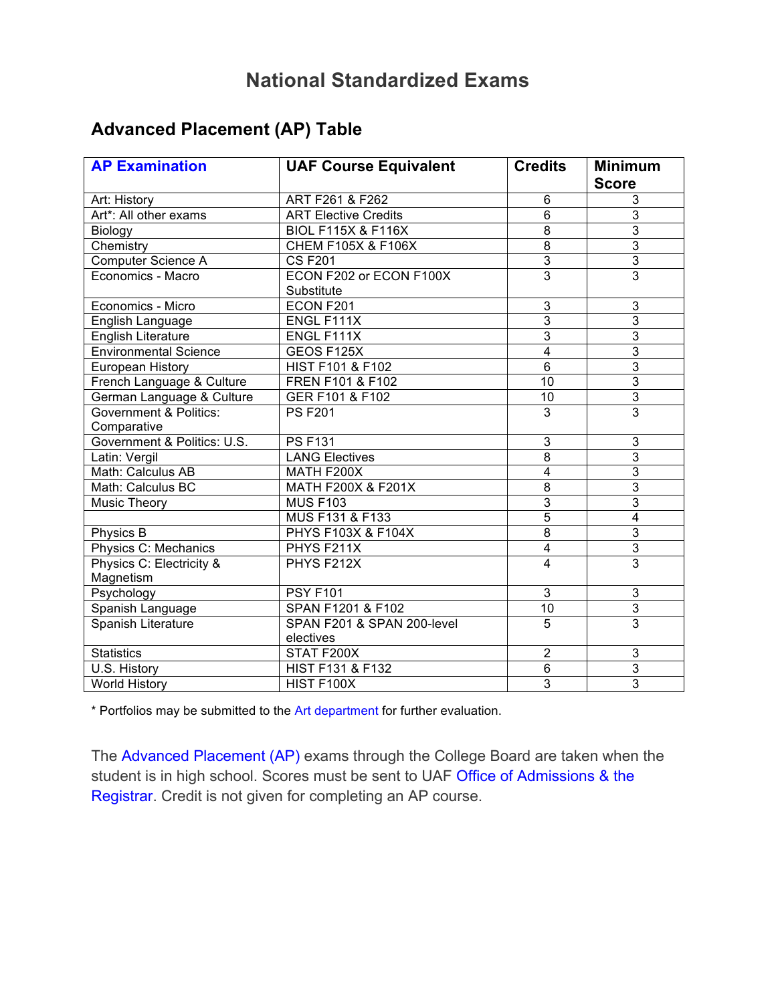# **National Standardized Exams**

## **Advanced Placement (AP) Table**

| <b>AP Examination</b>                 | <b>UAF Course Equivalent</b>          | <b>Credits</b>          | <b>Minimum</b><br><b>Score</b> |
|---------------------------------------|---------------------------------------|-------------------------|--------------------------------|
| Art: History                          | ART F261 & F262                       | 6                       | 3                              |
| Art*: All other exams                 | <b>ART Elective Credits</b>           | 6                       | 3                              |
| Biology                               | <b>BIOL F115X &amp; F116X</b>         | $\overline{8}$          | $\overline{3}$                 |
| Chemistry                             | <b>CHEM F105X &amp; F106X</b>         | $\overline{8}$          | $\overline{3}$                 |
| Computer Science A                    | <b>CS F201</b>                        | $\overline{3}$          | $\overline{3}$                 |
| Economics - Macro                     | ECON F202 or ECON F100X<br>Substitute | $\overline{3}$          | $\overline{3}$                 |
| Economics - Micro                     | ECON F201                             | $\overline{3}$          | $\overline{3}$                 |
| English Language                      | ENGL F111X                            | $\overline{3}$          | $\overline{3}$                 |
| <b>English Literature</b>             | ENGL F111X                            | $\overline{3}$          | 3                              |
| <b>Environmental Science</b>          | GEOS F125X                            | $\overline{4}$          | $\overline{3}$                 |
| European History                      | <b>HIST F101 &amp; F102</b>           | $\overline{6}$          | $\overline{3}$                 |
| French Language & Culture             | FREN F101 & F102                      | $\overline{10}$         | $\overline{3}$                 |
| German Language & Culture             | GER F101 & F102                       | 10                      | $\overline{3}$                 |
| Government & Politics:                | <b>PS F201</b>                        | $\overline{3}$          | $\overline{3}$                 |
| Comparative                           |                                       |                         |                                |
| Government & Politics: U.S.           | <b>PS F131</b>                        | 3                       | $\overline{3}$                 |
| Latin: Vergil                         | <b>LANG Electives</b>                 | $\overline{8}$          | $\overline{3}$                 |
| Math: Calculus AB                     | MATH F200X                            | $\overline{\mathbf{4}}$ | $\overline{3}$                 |
| Math: Calculus BC                     | MATH F200X & F201X                    | $\overline{8}$          | $\overline{3}$                 |
| Music Theory                          | <b>MUS F103</b>                       | $\overline{3}$          | $\overline{3}$                 |
|                                       | MUS F131 & F133                       | $\overline{5}$          | $\overline{\mathbf{4}}$        |
| Physics B                             | <b>PHYS F103X &amp; F104X</b>         | $\overline{8}$          | $\overline{3}$                 |
| Physics C: Mechanics                  | PHYS F211X                            | 4                       | $\overline{3}$                 |
| Physics C: Electricity &<br>Magnetism | PHYS F212X                            | $\overline{4}$          | $\overline{3}$                 |
| Psychology                            | <b>PSY F101</b>                       | $\overline{3}$          | 3                              |
| Spanish Language                      | SPAN F1201 & F102                     | 10                      | 3                              |
| Spanish Literature                    | SPAN F201 & SPAN 200-level            | $\overline{5}$          | $\overline{3}$                 |
|                                       | electives                             |                         |                                |
| <b>Statistics</b>                     | STAT F200X                            | $\overline{2}$          | 3                              |
| U.S. History                          | <b>HIST F131 &amp; F132</b>           | 6                       | $\overline{3}$                 |
| <b>World History</b>                  | HIST F100X                            | $\overline{3}$          | $\overline{3}$                 |

\* Portfolios may be submitted to the Art department for further evaluation.

The Advanced Placement (AP) exams through the College Board are taken when the student is in high school. Scores must be sent to UAF Office of Admissions & the Registrar. Credit is not given for completing an AP course.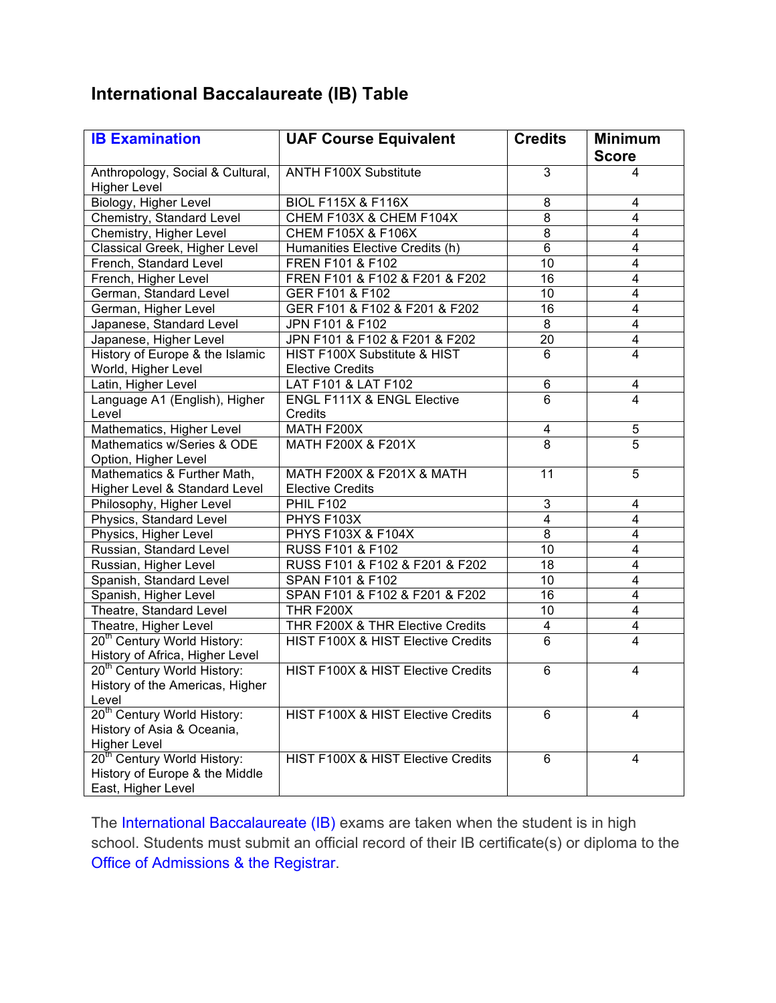## **International Baccalaureate (IB) Table**

| <b>IB Examination</b>                                                                           | <b>UAF Course Equivalent</b>                            | <b>Credits</b>  | <b>Minimum</b>          |
|-------------------------------------------------------------------------------------------------|---------------------------------------------------------|-----------------|-------------------------|
|                                                                                                 |                                                         |                 | <b>Score</b>            |
| Anthropology, Social & Cultural,<br><b>Higher Level</b>                                         | <b>ANTH F100X Substitute</b>                            | 3               | 4                       |
| Biology, Higher Level                                                                           | <b>BIOL F115X &amp; F116X</b>                           | 8               | 4                       |
| Chemistry, Standard Level                                                                       | CHEM F103X & CHEM F104X                                 | $\overline{8}$  | $\overline{\mathbf{4}}$ |
| Chemistry, Higher Level                                                                         | <b>CHEM F105X &amp; F106X</b>                           | $\overline{8}$  | $\overline{\mathbf{4}}$ |
| Classical Greek, Higher Level                                                                   | Humanities Elective Credits (h)                         | $\overline{6}$  | $\overline{\mathbf{4}}$ |
| French, Standard Level                                                                          | FREN F101 & F102                                        | $\overline{10}$ | $\overline{\mathbf{4}}$ |
| French, Higher Level                                                                            | FREN F101 & F102 & F201 & F202                          | $\overline{16}$ | $\overline{\mathbf{4}}$ |
| German, Standard Level                                                                          | GER F101 & F102                                         | 10              | $\overline{\mathbf{4}}$ |
| German, Higher Level                                                                            | GER F101 & F102 & F201 & F202                           | 16              | $\overline{4}$          |
| Japanese, Standard Level                                                                        | JPN F101 & F102                                         | $\overline{8}$  | $\overline{4}$          |
| Japanese, Higher Level                                                                          | JPN F101 & F102 & F201 & F202                           | $\overline{20}$ | $\overline{\mathbf{4}}$ |
| History of Europe & the Islamic<br>World, Higher Level                                          | HIST F100X Substitute & HIST<br><b>Elective Credits</b> | 6               | $\overline{4}$          |
| Latin, Higher Level                                                                             | LAT F101 & LAT F102                                     | 6               | 4                       |
| Language A1 (English), Higher                                                                   | <b>ENGL F111X &amp; ENGL Elective</b>                   | $\overline{6}$  | $\overline{4}$          |
| Level                                                                                           | Credits                                                 |                 |                         |
| Mathematics, Higher Level                                                                       | MATH F200X                                              | 4               | 5                       |
| Mathematics w/Series & ODE                                                                      | MATH F200X & F201X                                      | $\overline{8}$  | $\overline{5}$          |
| Option, Higher Level                                                                            |                                                         |                 |                         |
| Mathematics & Further Math,                                                                     | MATH F200X & F201X & MATH                               | $\overline{11}$ | 5                       |
| Higher Level & Standard Level                                                                   | <b>Elective Credits</b>                                 |                 |                         |
| Philosophy, Higher Level                                                                        | <b>PHIL F102</b>                                        | 3               | 4                       |
| Physics, Standard Level                                                                         | PHYS F103X                                              | $\overline{4}$  | $\overline{\mathbf{4}}$ |
| Physics, Higher Level                                                                           | <b>PHYS F103X &amp; F104X</b>                           | 8               | 4                       |
| Russian, Standard Level                                                                         | RUSS F101 & F102                                        | 10              | $\overline{\mathbf{4}}$ |
| Russian, Higher Level                                                                           | RUSS F101 & F102 & F201 & F202                          | 18              | $\overline{\mathbf{4}}$ |
| Spanish, Standard Level                                                                         | SPAN F101 & F102                                        | 10              | $\overline{\mathbf{4}}$ |
| Spanish, Higher Level                                                                           | SPAN F101 & F102 & F201 & F202                          | 16              | $\overline{\mathbf{4}}$ |
| Theatre, Standard Level                                                                         | <b>THR F200X</b>                                        | 10              | 4                       |
| Theatre, Higher Level                                                                           | THR F200X & THR Elective Credits                        | 4               | 4                       |
| 20 <sup>th</sup> Century World History:<br>History of Africa, Higher Level                      | HIST F100X & HIST Elective Credits                      | $\overline{6}$  | $\overline{\mathbf{4}}$ |
| 20 <sup>th</sup> Century World History:<br>History of the Americas, Higher<br>Level             | <b>HIST F100X &amp; HIST Elective Credits</b>           | 6               | 4                       |
| 20 <sup>th</sup> Century World History:<br>History of Asia & Oceania,<br><b>Higher Level</b>    | HIST F100X & HIST Elective Credits                      | 6               | 4                       |
| 20 <sup>th</sup> Century World History:<br>History of Europe & the Middle<br>East, Higher Level | HIST F100X & HIST Elective Credits                      | 6               | 4                       |

The International Baccalaureate (IB) exams are taken when the student is in high school. Students must submit an official record of their IB certificate(s) or diploma to the Office of Admissions & the Registrar.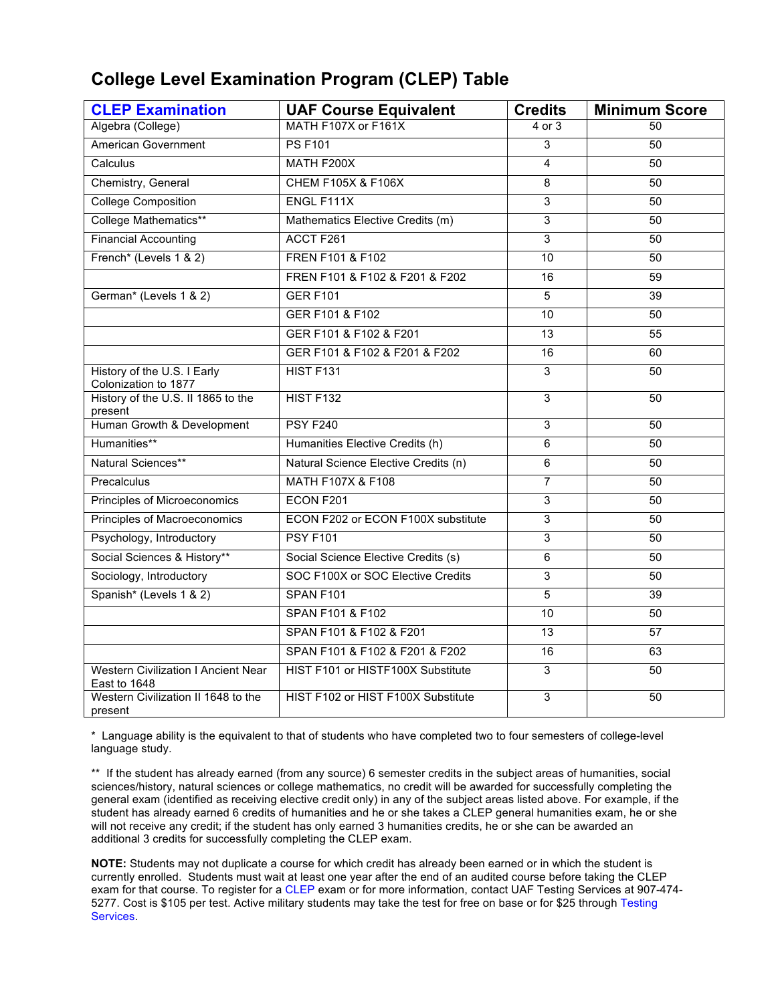#### **College Level Examination Program (CLEP) Table**

| <b>CLEP Examination</b>                             | <b>UAF Course Equivalent</b>         | <b>Credits</b>  | <b>Minimum Score</b> |
|-----------------------------------------------------|--------------------------------------|-----------------|----------------------|
| Algebra (College)                                   | MATH F107X or F161X                  | $4$ or $3$      | 50                   |
| <b>American Government</b>                          | <b>PS F101</b>                       | 3               | 50                   |
| Calculus                                            | MATH F200X                           | 4               | 50                   |
| Chemistry, General                                  | <b>CHEM F105X &amp; F106X</b>        | 8               | 50                   |
| <b>College Composition</b>                          | ENGL F111X                           | $\overline{3}$  | 50                   |
| College Mathematics**                               | Mathematics Elective Credits (m)     | $\overline{3}$  | 50                   |
| <b>Financial Accounting</b>                         | ACCT F261                            | $\overline{3}$  | 50                   |
| French* (Levels 1 & 2)                              | FREN F101 & F102                     | 10              | 50                   |
|                                                     | FREN F101 & F102 & F201 & F202       | 16              | 59                   |
| German* (Levels 1 & 2)                              | <b>GER F101</b>                      | 5               | 39                   |
|                                                     | GER F101 & F102                      | $\overline{10}$ | 50                   |
|                                                     | GER F101 & F102 & F201               | 13              | $\overline{55}$      |
|                                                     | GER F101 & F102 & F201 & F202        | 16              | 60                   |
| History of the U.S. I Early<br>Colonization to 1877 | HIST F131                            | $\overline{3}$  | 50                   |
| History of the U.S. II 1865 to the<br>present       | <b>HIST F132</b>                     | $\overline{3}$  | 50                   |
| Human Growth & Development                          | <b>PSY F240</b>                      | $\overline{3}$  | 50                   |
| Humanities**                                        | Humanities Elective Credits (h)      | 6               | 50                   |
| Natural Sciences**                                  | Natural Science Elective Credits (n) | 6               | 50                   |
| Precalculus                                         | <b>MATH F107X &amp; F108</b>         | $\overline{7}$  | 50                   |
| Principles of Microeconomics                        | ECON F201                            | $\overline{3}$  | 50                   |
| Principles of Macroeconomics                        | ECON F202 or ECON F100X substitute   | $\overline{3}$  | 50                   |
| Psychology, Introductory                            | <b>PSY F101</b>                      | 3               | 50                   |
| Social Sciences & History**                         | Social Science Elective Credits (s)  | 6               | 50                   |
| Sociology, Introductory                             | SOC F100X or SOC Elective Credits    | 3               | 50                   |
| Spanish* (Levels 1 & 2)                             | SPAN F101                            | 5               | 39                   |
|                                                     | SPAN F101 & F102                     | $\overline{10}$ | 50                   |
|                                                     | SPAN F101 & F102 & F201              | 13              | $\overline{57}$      |
|                                                     | SPAN F101 & F102 & F201 & F202       | 16              | 63                   |
| Western Civilization I Ancient Near<br>East to 1648 | HIST F101 or HISTF100X Substitute    | 3               | 50                   |
| Western Civilization II 1648 to the<br>present      | HIST F102 or HIST F100X Substitute   | $\overline{3}$  | 50                   |

\* Language ability is the equivalent to that of students who have completed two to four semesters of college-level language study.

\*\* If the student has already earned (from any source) 6 semester credits in the subject areas of humanities, social sciences/history, natural sciences or college mathematics, no credit will be awarded for successfully completing the general exam (identified as receiving elective credit only) in any of the subject areas listed above. For example, if the student has already earned 6 credits of humanities and he or she takes a CLEP general humanities exam, he or she will not receive any credit; if the student has only earned 3 humanities credits, he or she can be awarded an additional 3 credits for successfully completing the CLEP exam.

**NOTE:** Students may not duplicate a course for which credit has already been earned or in which the student is currently enrolled. Students must wait at least one year after the end of an audited course before taking the CLEP exam for that course. To register for a CLEP exam or for more information, contact UAF Testing Services at 907-474- 5277. Cost is \$105 per test. Active military students may take the test for free on base or for \$25 through Testing Services.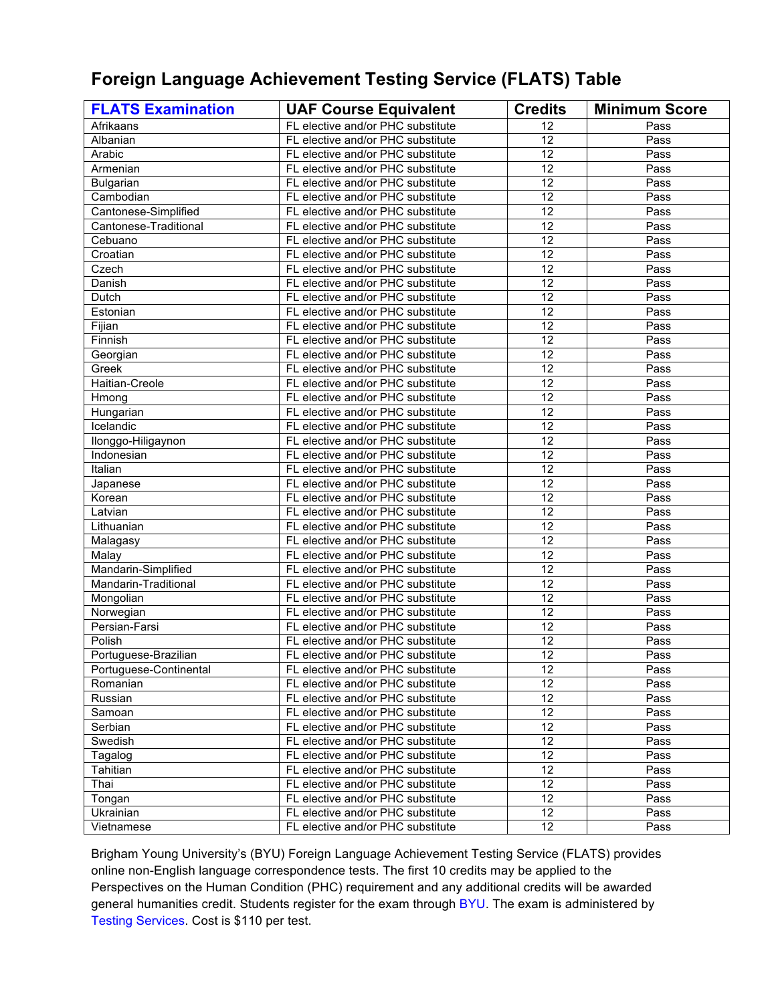### **Foreign Language Achievement Testing Service (FLATS) Table**

| <b>FLATS Examination</b> | <b>UAF Course Equivalent</b>      | <b>Credits</b>  | <b>Minimum Score</b> |
|--------------------------|-----------------------------------|-----------------|----------------------|
| Afrikaans                | FL elective and/or PHC substitute | 12              | Pass                 |
| Albanian                 | FL elective and/or PHC substitute | 12              | Pass                 |
| Arabic                   | FL elective and/or PHC substitute | 12              | Pass                 |
| Armenian                 | FL elective and/or PHC substitute | 12              | Pass                 |
| <b>Bulgarian</b>         | FL elective and/or PHC substitute | $\overline{12}$ | Pass                 |
| Cambodian                | FL elective and/or PHC substitute | $\overline{12}$ | Pass                 |
| Cantonese-Simplified     | FL elective and/or PHC substitute | $\overline{12}$ | Pass                 |
| Cantonese-Traditional    | FL elective and/or PHC substitute | 12              | Pass                 |
| Cebuano                  | FL elective and/or PHC substitute | 12              | Pass                 |
| Croatian                 | FL elective and/or PHC substitute | 12              | Pass                 |
| Czech                    | FL elective and/or PHC substitute | 12              | Pass                 |
| Danish                   | FL elective and/or PHC substitute | 12              | Pass                 |
| Dutch                    | FL elective and/or PHC substitute | 12              | Pass                 |
| Estonian                 | FL elective and/or PHC substitute | 12              | Pass                 |
| Fijian                   | FL elective and/or PHC substitute | $\overline{12}$ | Pass                 |
| Finnish                  | FL elective and/or PHC substitute | $\overline{12}$ | Pass                 |
| Georgian                 | FL elective and/or PHC substitute | 12              | Pass                 |
| Greek                    | FL elective and/or PHC substitute | $\overline{12}$ | Pass                 |
| Haitian-Creole           | FL elective and/or PHC substitute | 12              | Pass                 |
| Hmong                    | FL elective and/or PHC substitute | 12              | Pass                 |
| Hungarian                | FL elective and/or PHC substitute | 12              | Pass                 |
| Icelandic                | FL elective and/or PHC substitute | $\overline{12}$ | Pass                 |
| Ilonggo-Hiligaynon       | FL elective and/or PHC substitute | $\overline{12}$ | Pass                 |
| Indonesian               | FL elective and/or PHC substitute | $\overline{12}$ | Pass                 |
| Italian                  | FL elective and/or PHC substitute | $\overline{12}$ | Pass                 |
| Japanese                 | FL elective and/or PHC substitute | 12              | Pass                 |
| Korean                   | FL elective and/or PHC substitute | 12              | Pass                 |
| Latvian                  | FL elective and/or PHC substitute | 12              | Pass                 |
| Lithuanian               | FL elective and/or PHC substitute | 12              | Pass                 |
| Malagasy                 | FL elective and/or PHC substitute | 12              | Pass                 |
| Malay                    | FL elective and/or PHC substitute | 12              | Pass                 |
| Mandarin-Simplified      | FL elective and/or PHC substitute | $\overline{12}$ | Pass                 |
| Mandarin-Traditional     | FL elective and/or PHC substitute | $\overline{12}$ | Pass                 |
| Mongolian                | FL elective and/or PHC substitute | $\overline{12}$ | Pass                 |
| Norwegian                | FL elective and/or PHC substitute | $\overline{12}$ | Pass                 |
| Persian-Farsi            | FL elective and/or PHC substitute | 12              | Pass                 |
| Polish                   | FL elective and/or PHC substitute | 12              | Pass                 |
| Portuguese-Brazilian     | FL elective and/or PHC substitute | $\overline{12}$ | Pass                 |
| Portuguese-Continental   | FL elective and/or PHC substitute | 12              | Pass                 |
| Romanian                 | FL elective and/or PHC substitute | 12              | Pass                 |
| Russian                  | FL elective and/or PHC substitute | 12              | Pass                 |
| Samoan                   | FL elective and/or PHC substitute | $\overline{12}$ | Pass                 |
| Serbian                  | FL elective and/or PHC substitute | 12              | Pass                 |
| Swedish                  | FL elective and/or PHC substitute | 12              | Pass                 |
| Tagalog                  | FL elective and/or PHC substitute | 12              | Pass                 |
| Tahitian                 | FL elective and/or PHC substitute | 12              | Pass                 |
| Thai                     | FL elective and/or PHC substitute | 12              | Pass                 |
| Tongan                   | FL elective and/or PHC substitute | 12              | Pass                 |
| Ukrainian                | FL elective and/or PHC substitute | 12              | Pass                 |
| Vietnamese               | FL elective and/or PHC substitute | $\overline{12}$ | Pass                 |

Brigham Young University's (BYU) Foreign Language Achievement Testing Service (FLATS) provides online non-English language correspondence tests. The first 10 credits may be applied to the Perspectives on the Human Condition (PHC) requirement and any additional credits will be awarded general humanities credit. Students register for the exam through BYU. The exam is administered by Testing Services. Cost is \$110 per test.